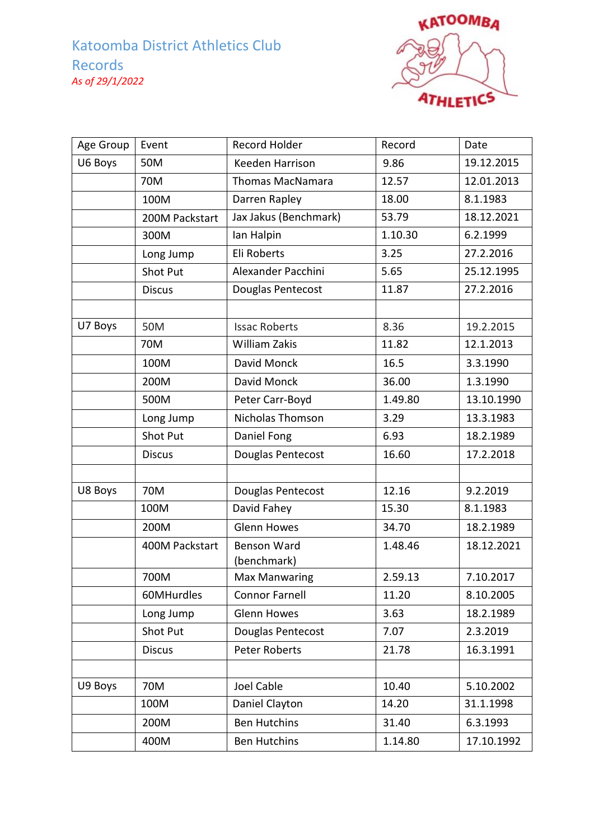

| Age Group | Event           | Record Holder           | Record  | Date       |
|-----------|-----------------|-------------------------|---------|------------|
| U6 Boys   | 50M             | Keeden Harrison         | 9.86    | 19.12.2015 |
|           | 70M             | <b>Thomas MacNamara</b> | 12.57   | 12.01.2013 |
|           | 100M            | Darren Rapley           | 18.00   | 8.1.1983   |
|           | 200M Packstart  | Jax Jakus (Benchmark)   | 53.79   | 18.12.2021 |
|           | 300M            | Ian Halpin              | 1.10.30 | 6.2.1999   |
|           | Long Jump       | Eli Roberts             | 3.25    | 27.2.2016  |
|           | <b>Shot Put</b> | Alexander Pacchini      | 5.65    | 25.12.1995 |
|           | <b>Discus</b>   | Douglas Pentecost       | 11.87   | 27.2.2016  |
|           |                 |                         |         |            |
| U7 Boys   | 50M             | <b>Issac Roberts</b>    | 8.36    | 19.2.2015  |
|           | 70M             | William Zakis           | 11.82   | 12.1.2013  |
|           | 100M            | David Monck             | 16.5    | 3.3.1990   |
|           | 200M            | David Monck             | 36.00   | 1.3.1990   |
|           | 500M            | Peter Carr-Boyd         | 1.49.80 | 13.10.1990 |
|           | Long Jump       | <b>Nicholas Thomson</b> | 3.29    | 13.3.1983  |
|           | Shot Put        | Daniel Fong             | 6.93    | 18.2.1989  |
|           | <b>Discus</b>   | Douglas Pentecost       | 16.60   | 17.2.2018  |
|           |                 |                         |         |            |
| U8 Boys   | 70M             | Douglas Pentecost       | 12.16   | 9.2.2019   |
|           | 100M            | David Fahey             | 15.30   | 8.1.1983   |
|           | 200M            | <b>Glenn Howes</b>      | 34.70   | 18.2.1989  |
|           | 400M Packstart  | Benson Ward             | 1.48.46 | 18.12.2021 |
|           |                 | (benchmark)             |         |            |
|           | 700M            | <b>Max Manwaring</b>    | 2.59.13 | 7.10.2017  |
|           | 60MHurdles      | <b>Connor Farnell</b>   | 11.20   | 8.10.2005  |
|           | Long Jump       | <b>Glenn Howes</b>      | 3.63    | 18.2.1989  |
|           | Shot Put        | Douglas Pentecost       | 7.07    | 2.3.2019   |
|           | <b>Discus</b>   | <b>Peter Roberts</b>    | 21.78   | 16.3.1991  |
|           |                 |                         |         |            |
| U9 Boys   | 70M             | Joel Cable              | 10.40   | 5.10.2002  |
|           | 100M            | Daniel Clayton          | 14.20   | 31.1.1998  |
|           | 200M            | <b>Ben Hutchins</b>     | 31.40   | 6.3.1993   |
|           | 400M            | <b>Ben Hutchins</b>     | 1.14.80 | 17.10.1992 |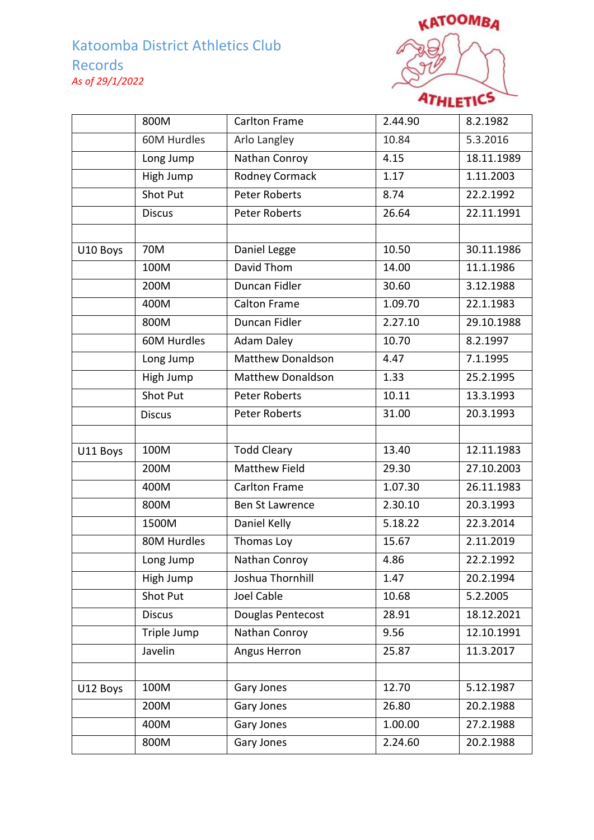

|          | 800M            | Carlton Frame            | 2.44.90 | 8.2.1982   |
|----------|-----------------|--------------------------|---------|------------|
|          | 60M Hurdles     | Arlo Langley             | 10.84   | 5.3.2016   |
|          | Long Jump       | Nathan Conroy            | 4.15    | 18.11.1989 |
|          | High Jump       | <b>Rodney Cormack</b>    | 1.17    | 1.11.2003  |
|          | Shot Put        | <b>Peter Roberts</b>     | 8.74    | 22.2.1992  |
|          | <b>Discus</b>   | <b>Peter Roberts</b>     | 26.64   | 22.11.1991 |
|          |                 |                          |         |            |
| U10 Boys | 70M             | Daniel Legge             | 10.50   | 30.11.1986 |
|          | 100M            | David Thom               | 14.00   | 11.1.1986  |
|          | 200M            | Duncan Fidler            | 30.60   | 3.12.1988  |
|          | 400M            | <b>Calton Frame</b>      | 1.09.70 | 22.1.1983  |
|          | 800M            | Duncan Fidler            | 2.27.10 | 29.10.1988 |
|          | 60M Hurdles     | <b>Adam Daley</b>        | 10.70   | 8.2.1997   |
|          | Long Jump       | <b>Matthew Donaldson</b> | 4.47    | 7.1.1995   |
|          | High Jump       | <b>Matthew Donaldson</b> | 1.33    | 25.2.1995  |
|          | <b>Shot Put</b> | <b>Peter Roberts</b>     | 10.11   | 13.3.1993  |
|          | <b>Discus</b>   | <b>Peter Roberts</b>     | 31.00   | 20.3.1993  |
|          |                 |                          |         |            |
| U11 Boys | 100M            | Todd Cleary              | 13.40   | 12.11.1983 |
|          | 200M            | <b>Matthew Field</b>     | 29.30   | 27.10.2003 |
|          | 400M            | Carlton Frame            | 1.07.30 | 26.11.1983 |
|          | 800M            | <b>Ben St Lawrence</b>   | 2.30.10 | 20.3.1993  |
|          | 1500M           | Daniel Kelly             | 5.18.22 | 22.3.2014  |
|          | 80M Hurdles     | Thomas Loy               | 15.67   | 2.11.2019  |
|          | Long Jump       | Nathan Conroy            | 4.86    | 22.2.1992  |
|          | High Jump       | Joshua Thornhill         | 1.47    | 20.2.1994  |
|          | Shot Put        | Joel Cable               | 10.68   | 5.2.2005   |
|          | <b>Discus</b>   | Douglas Pentecost        | 28.91   | 18.12.2021 |
|          | Triple Jump     | Nathan Conroy            | 9.56    | 12.10.1991 |
|          | Javelin         | Angus Herron             | 25.87   | 11.3.2017  |
|          |                 |                          |         |            |
| U12 Boys | 100M            | Gary Jones               | 12.70   | 5.12.1987  |
|          | 200M            | Gary Jones               | 26.80   | 20.2.1988  |
|          | 400M            | Gary Jones               | 1.00.00 | 27.2.1988  |
|          | 800M            | Gary Jones               | 2.24.60 | 20.2.1988  |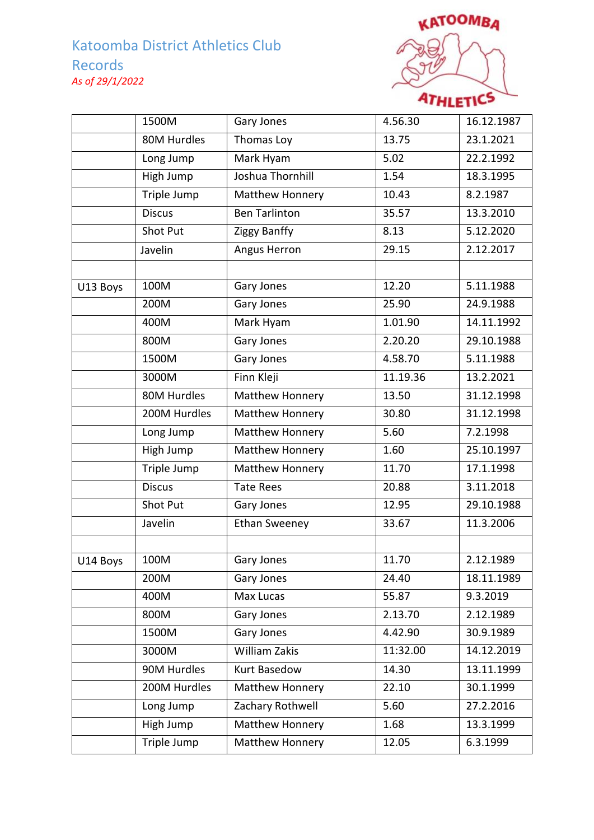

|          | 1500M              | Gary Jones           | 4.56.30  | 16.12.1987 |
|----------|--------------------|----------------------|----------|------------|
|          | 80M Hurdles        | Thomas Loy           | 13.75    | 23.1.2021  |
|          | Long Jump          | Mark Hyam            | 5.02     | 22.2.1992  |
|          | High Jump          | Joshua Thornhill     | 1.54     | 18.3.1995  |
|          | Triple Jump        | Matthew Honnery      | 10.43    | 8.2.1987   |
|          | <b>Discus</b>      | <b>Ben Tarlinton</b> | 35.57    | 13.3.2010  |
|          | Shot Put           | Ziggy Banffy         | 8.13     | 5.12.2020  |
|          | Javelin            | Angus Herron         | 29.15    | 2.12.2017  |
|          |                    |                      |          |            |
| U13 Boys | 100M               | Gary Jones           | 12.20    | 5.11.1988  |
|          | 200M               | Gary Jones           | 25.90    | 24.9.1988  |
|          | 400M               | Mark Hyam            | 1.01.90  | 14.11.1992 |
|          | 800M               | Gary Jones           | 2.20.20  | 29.10.1988 |
|          | 1500M              | Gary Jones           | 4.58.70  | 5.11.1988  |
|          | 3000M              | Finn Kleji           | 11.19.36 | 13.2.2021  |
|          | 80M Hurdles        | Matthew Honnery      | 13.50    | 31.12.1998 |
|          | 200M Hurdles       | Matthew Honnery      | 30.80    | 31.12.1998 |
|          | Long Jump          | Matthew Honnery      | 5.60     | 7.2.1998   |
|          | <b>High Jump</b>   | Matthew Honnery      | 1.60     | 25.10.1997 |
|          | <b>Triple Jump</b> | Matthew Honnery      | 11.70    | 17.1.1998  |
|          | <b>Discus</b>      | <b>Tate Rees</b>     | 20.88    | 3.11.2018  |
|          | Shot Put           | Gary Jones           | 12.95    | 29.10.1988 |
|          | Javelin            | <b>Ethan Sweeney</b> | 33.67    | 11.3.2006  |
|          |                    |                      |          |            |
| U14 Boys | 100M               | Gary Jones           | 11.70    | 2.12.1989  |
|          | 200M               | Gary Jones           | 24.40    | 18.11.1989 |
|          | 400M               | Max Lucas            | 55.87    | 9.3.2019   |
|          | 800M               | Gary Jones           | 2.13.70  | 2.12.1989  |
|          | 1500M              | Gary Jones           | 4.42.90  | 30.9.1989  |
|          | 3000M              | William Zakis        | 11:32.00 | 14.12.2019 |
|          | 90M Hurdles        | <b>Kurt Basedow</b>  | 14.30    | 13.11.1999 |
|          | 200M Hurdles       | Matthew Honnery      | 22.10    | 30.1.1999  |
|          | Long Jump          | Zachary Rothwell     | 5.60     | 27.2.2016  |
|          | High Jump          | Matthew Honnery      | 1.68     | 13.3.1999  |
|          | Triple Jump        | Matthew Honnery      | 12.05    | 6.3.1999   |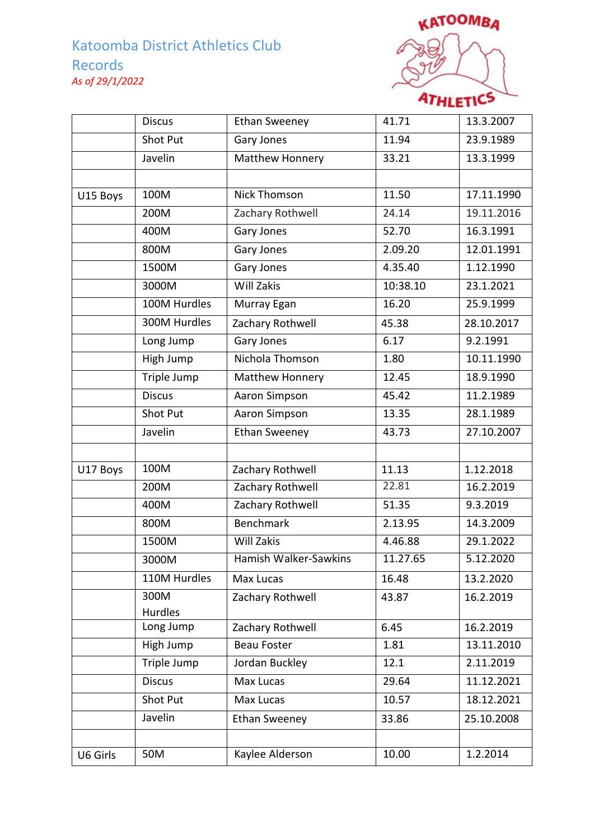

|          | <b>Discus</b>          | <b>Ethan Sweeney</b>  | 41.71    | 13.3.2007  |
|----------|------------------------|-----------------------|----------|------------|
|          | Shot Put               | Gary Jones            | 11.94    | 23.9.1989  |
|          | Javelin                | Matthew Honnery       | 33.21    | 13.3.1999  |
|          |                        |                       |          |            |
| U15 Boys | 100M                   | <b>Nick Thomson</b>   | 11.50    | 17.11.1990 |
|          | 200M                   | Zachary Rothwell      | 24.14    | 19.11.2016 |
|          | 400M                   | Gary Jones            | 52.70    | 16.3.1991  |
|          | 800M                   | Gary Jones            | 2.09.20  | 12.01.1991 |
|          | 1500M                  | Gary Jones            | 4.35.40  | 1.12.1990  |
|          | 3000M                  | Will Zakis            | 10:38.10 | 23.1.2021  |
|          | 100M Hurdles           | Murray Egan           | 16.20    | 25.9.1999  |
|          | 300M Hurdles           | Zachary Rothwell      | 45.38    | 28.10.2017 |
|          | Long Jump              | <b>Gary Jones</b>     | 6.17     | 9.2.1991   |
|          | High Jump              | Nichola Thomson       | 1.80     | 10.11.1990 |
|          | Triple Jump            | Matthew Honnery       | 12.45    | 18.9.1990  |
|          | <b>Discus</b>          | Aaron Simpson         | 45.42    | 11.2.1989  |
|          | Shot Put               | Aaron Simpson         | 13.35    | 28.1.1989  |
|          | Javelin                | <b>Ethan Sweeney</b>  | 43.73    | 27.10.2007 |
|          |                        |                       |          |            |
| U17 Boys | 100M                   | Zachary Rothwell      | 11.13    | 1.12.2018  |
|          | 200M                   | Zachary Rothwell      | 22.81    | 16.2.2019  |
|          | 400M                   | Zachary Rothwell      | 51.35    | 9.3.2019   |
|          | 800M                   | <b>Benchmark</b>      | 2.13.95  | 14.3.2009  |
|          | 1500M                  | Will Zakis            | 4.46.88  | 29.1.2022  |
|          | 3000M                  | Hamish Walker-Sawkins | 11.27.65 | 5.12.2020  |
|          | 110M Hurdles           | Max Lucas             | 16.48    | 13.2.2020  |
|          | 300M<br><b>Hurdles</b> | Zachary Rothwell      | 43.87    | 16.2.2019  |
|          | Long Jump              | Zachary Rothwell      | 6.45     | 16.2.2019  |
|          | High Jump              | <b>Beau Foster</b>    | 1.81     | 13.11.2010 |
|          | Triple Jump            | Jordan Buckley        | 12.1     | 2.11.2019  |
|          | <b>Discus</b>          | Max Lucas             | 29.64    | 11.12.2021 |
|          | Shot Put               | Max Lucas             | 10.57    | 18.12.2021 |
|          | Javelin                | <b>Ethan Sweeney</b>  | 33.86    | 25.10.2008 |
|          |                        |                       |          |            |
| U6 Girls | 50M                    | Kaylee Alderson       | 10.00    | 1.2.2014   |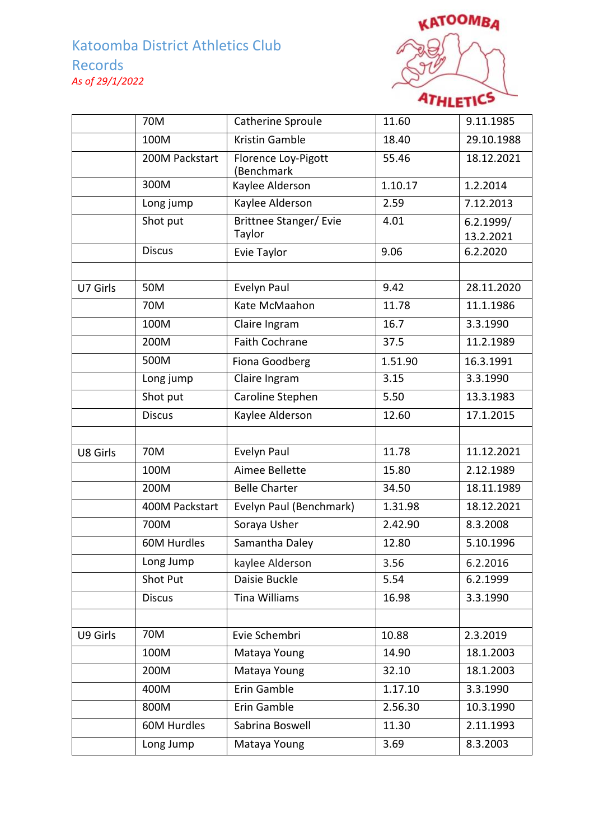

|          | 70M            | Catherine Sproule                       | 11.60   | 9.11.1985              |
|----------|----------------|-----------------------------------------|---------|------------------------|
|          | 100M           | Kristin Gamble                          | 18.40   | 29.10.1988             |
|          | 200M Packstart | Florence Loy-Pigott<br>(Benchmark       | 55.46   | 18.12.2021             |
|          | 300M           | Kaylee Alderson                         | 1.10.17 | 1.2.2014               |
|          | Long jump      | Kaylee Alderson                         | 2.59    | 7.12.2013              |
|          | Shot put       | <b>Brittnee Stanger/ Evie</b><br>Taylor | 4.01    | 6.2.1999/<br>13.2.2021 |
|          | <b>Discus</b>  | Evie Taylor                             | 9.06    | 6.2.2020               |
|          |                |                                         |         |                        |
| U7 Girls | 50M            | Evelyn Paul                             | 9.42    | 28.11.2020             |
|          | 70M            | Kate McMaahon                           | 11.78   | 11.1.1986              |
|          | 100M           | Claire Ingram                           | 16.7    | 3.3.1990               |
|          | 200M           | Faith Cochrane                          | 37.5    | 11.2.1989              |
|          | 500M           | Fiona Goodberg                          | 1.51.90 | 16.3.1991              |
|          | Long jump      | Claire Ingram                           | 3.15    | 3.3.1990               |
|          | Shot put       | Caroline Stephen                        | 5.50    | 13.3.1983              |
|          | <b>Discus</b>  | Kaylee Alderson                         | 12.60   | 17.1.2015              |
|          |                |                                         |         |                        |
| U8 Girls | 70M            | Evelyn Paul                             | 11.78   | 11.12.2021             |
|          | 100M           | Aimee Bellette                          | 15.80   | 2.12.1989              |
|          | 200M           | <b>Belle Charter</b>                    | 34.50   | 18.11.1989             |
|          | 400M Packstart | Evelyn Paul (Benchmark)                 | 1.31.98 | 18.12.2021             |
|          | 700M           | Soraya Usher                            | 2.42.90 | 8.3.2008               |
|          | 60M Hurdles    | Samantha Daley                          | 12.80   | 5.10.1996              |
|          | Long Jump      | kaylee Alderson                         | 3.56    | 6.2.2016               |
|          | Shot Put       | Daisie Buckle                           | 5.54    | 6.2.1999               |
|          | <b>Discus</b>  | <b>Tina Williams</b>                    | 16.98   | 3.3.1990               |
|          |                |                                         |         |                        |
| U9 Girls | 70M            | Evie Schembri                           | 10.88   | 2.3.2019               |
|          | 100M           | Mataya Young                            | 14.90   | 18.1.2003              |
|          | 200M           | Mataya Young                            | 32.10   | 18.1.2003              |
|          | 400M           | Erin Gamble                             | 1.17.10 | 3.3.1990               |
|          | 800M           | Erin Gamble                             | 2.56.30 | 10.3.1990              |
|          | 60M Hurdles    | Sabrina Boswell                         | 11.30   | 2.11.1993              |
|          | Long Jump      | Mataya Young                            | 3.69    | 8.3.2003               |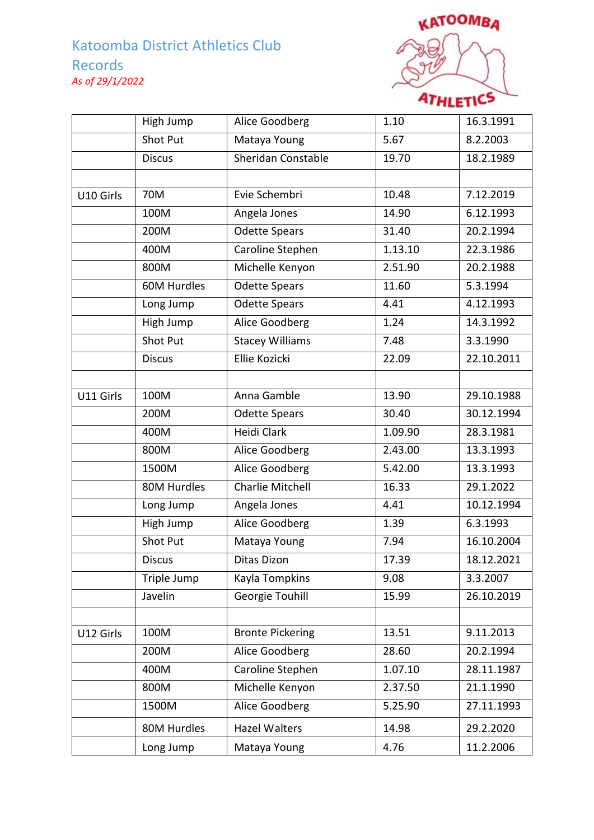

|           | High Jump     | Alice Goodberg          | 1.10    | 16.3.1991               |
|-----------|---------------|-------------------------|---------|-------------------------|
|           | Shot Put      | Mataya Young            | 5.67    | 8.2.2003                |
|           | <b>Discus</b> | Sheridan Constable      | 19.70   | 18.2.1989               |
|           |               |                         |         |                         |
| U10 Girls | 70M           | Evie Schembri           | 10.48   | 7.12.2019               |
|           | 100M          | Angela Jones            | 14.90   | $\overline{6}$ .12.1993 |
|           | 200M          | <b>Odette Spears</b>    | 31.40   | 20.2.1994               |
|           | 400M          | Caroline Stephen        | 1.13.10 | 22.3.1986               |
|           | 800M          | Michelle Kenyon         | 2.51.90 | 20.2.1988               |
|           | 60M Hurdles   | <b>Odette Spears</b>    | 11.60   | 5.3.1994                |
|           | Long Jump     | Odette Spears           | 4.41    | 4.12.1993               |
|           | High Jump     | Alice Goodberg          | 1.24    | 14.3.1992               |
|           | Shot Put      | <b>Stacey Williams</b>  | 7.48    | 3.3.1990                |
|           | <b>Discus</b> | <b>Ellie Kozicki</b>    | 22.09   | 22.10.2011              |
|           |               |                         |         |                         |
| U11 Girls | 100M          | Anna Gamble             | 13.90   | 29.10.1988              |
|           | 200M          | <b>Odette Spears</b>    | 30.40   | 30.12.1994              |
|           | 400M          | <b>Heidi Clark</b>      | 1.09.90 | 28.3.1981               |
|           | 800M          | Alice Goodberg          | 2.43.00 | 13.3.1993               |
|           | 1500M         | Alice Goodberg          | 5.42.00 | 13.3.1993               |
|           | 80M Hurdles   | <b>Charlie Mitchell</b> | 16.33   | 29.1.2022               |
|           | Long Jump     | Angela Jones            | 4.41    | 10.12.1994              |
|           | High Jump     | Alice Goodberg          | 1.39    | 6.3.1993                |
|           | Shot Put      | Mataya Young            | 7.94    | 16.10.2004              |
|           | <b>Discus</b> | <b>Ditas Dizon</b>      | 17.39   | 18.12.2021              |
|           | Triple Jump   | Kayla Tompkins          | 9.08    | 3.3.2007                |
|           | Javelin       | Georgie Touhill         | 15.99   | 26.10.2019              |
|           |               |                         |         |                         |
| U12 Girls | 100M          | <b>Bronte Pickering</b> | 13.51   | 9.11.2013               |
|           | 200M          | Alice Goodberg          | 28.60   | 20.2.1994               |
|           | 400M          | Caroline Stephen        | 1.07.10 | 28.11.1987              |
|           | 800M          | Michelle Kenyon         | 2.37.50 | 21.1.1990               |
|           | 1500M         | Alice Goodberg          | 5.25.90 | 27.11.1993              |
|           | 80M Hurdles   | Hazel Walters           | 14.98   | 29.2.2020               |
|           | Long Jump     | Mataya Young            | 4.76    | 11.2.2006               |
|           |               |                         |         |                         |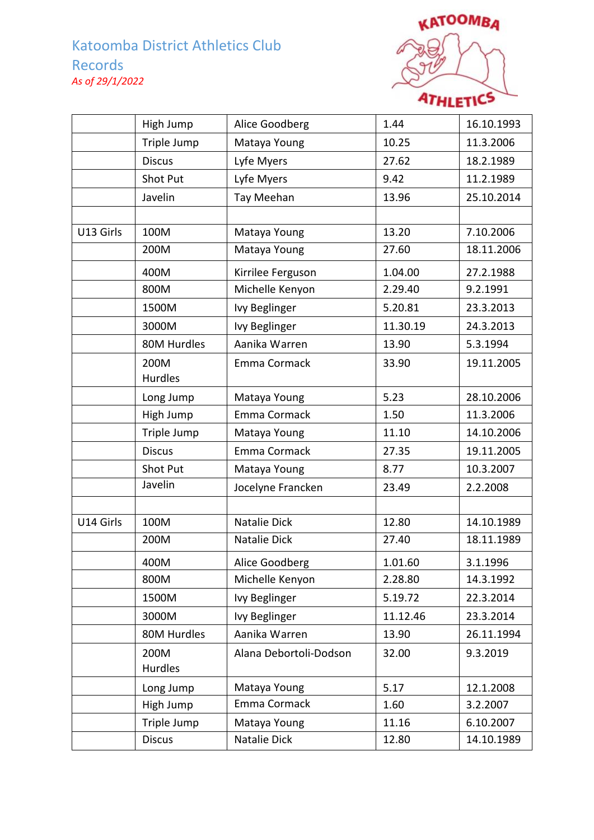

|           | High Jump       | Alice Goodberg               | 1.44     | 16.10.1993 |
|-----------|-----------------|------------------------------|----------|------------|
|           | Triple Jump     | Mataya Young                 | 10.25    | 11.3.2006  |
|           | <b>Discus</b>   | Lyfe Myers                   | 27.62    | 18.2.1989  |
|           | Shot Put        | Lyfe Myers                   | 9.42     | 11.2.1989  |
|           | Javelin         | Tay Meehan                   | 13.96    | 25.10.2014 |
|           |                 |                              |          |            |
| U13 Girls | 100M            | Mataya Young                 | 13.20    | 7.10.2006  |
|           | 200M            | Mataya Young                 | 27.60    | 18.11.2006 |
|           | 400M            | Kirrilee Ferguson            | 1.04.00  | 27.2.1988  |
|           | 800M            | Michelle Kenyon              | 2.29.40  | 9.2.1991   |
|           | 1500M           | Ivy Beglinger                | 5.20.81  | 23.3.2013  |
|           | 3000M           | Ivy Beglinger                | 11.30.19 | 24.3.2013  |
|           | 80M Hurdles     | Aanika Warren                | 13.90    | 5.3.1994   |
|           | 200M            | Emma Cormack                 | 33.90    | 19.11.2005 |
|           | Hurdles         |                              |          |            |
|           | Long Jump       | Mataya Young                 | 5.23     | 28.10.2006 |
|           | High Jump       | Emma Cormack                 | 1.50     | 11.3.2006  |
|           | Triple Jump     | Mataya Young                 | 11.10    | 14.10.2006 |
|           | <b>Discus</b>   | Emma Cormack                 | 27.35    | 19.11.2005 |
|           | Shot Put        | Mataya Young                 | 8.77     | 10.3.2007  |
|           | Javelin         | Jocelyne Francken            | 23.49    | 2.2.2008   |
|           |                 |                              |          |            |
| U14 Girls | 100M            | Natalie Dick                 | 12.80    | 14.10.1989 |
|           | 200M            | Natalie Dick                 | 27.40    | 18.11.1989 |
|           | 400M            | Alice Goodberg               | 1.01.60  | 3.1.1996   |
|           | 800M            | Michelle Kenyon              | 2.28.80  | 14.3.1992  |
|           | 1500M           | Ivy Beglinger                | 5.19.72  | 22.3.2014  |
|           | 3000M           | Ivy Beglinger                | 11.12.46 | 23.3.2014  |
|           | 80M Hurdles     | Aanika Warren                | 13.90    | 26.11.1994 |
|           | 200M<br>Hurdles | Alana Debortoli-Dodson       | 32.00    | 9.3.2019   |
|           |                 |                              |          |            |
|           | Long Jump       | Mataya Young<br>Emma Cormack | 5.17     | 12.1.2008  |
|           | High Jump       |                              | 1.60     | 3.2.2007   |
|           | Triple Jump     | Mataya Young                 | 11.16    | 6.10.2007  |
|           | <b>Discus</b>   | Natalie Dick                 | 12.80    | 14.10.1989 |